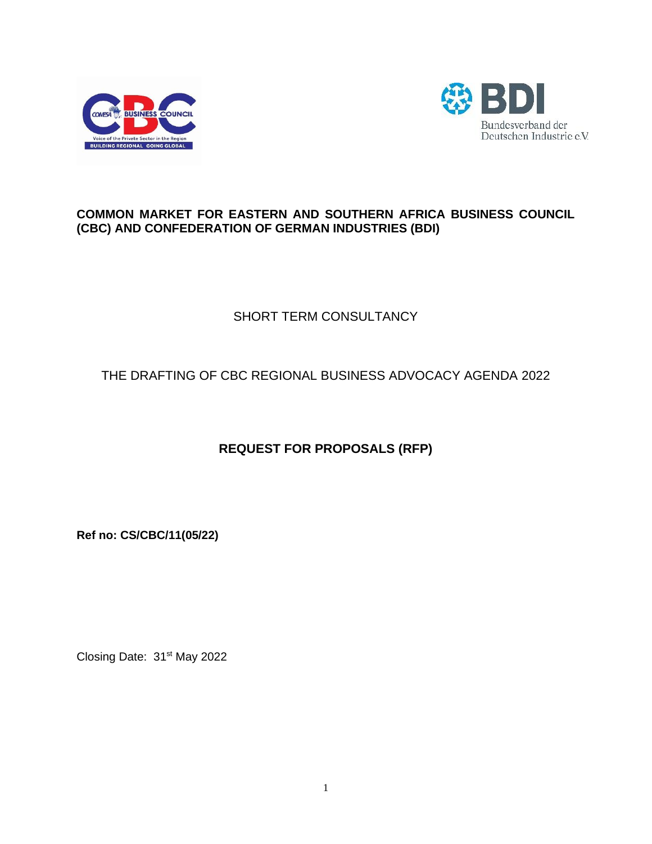



# **COMMON MARKET FOR EASTERN AND SOUTHERN AFRICA BUSINESS COUNCIL (CBC) AND CONFEDERATION OF GERMAN INDUSTRIES (BDI)**

# SHORT TERM CONSULTANCY

# THE DRAFTING OF CBC REGIONAL BUSINESS ADVOCACY AGENDA 2022

# **REQUEST FOR PROPOSALS (RFP)**

**Ref no: CS/CBC/11(05/22)**

Closing Date: 31<sup>st</sup> May 2022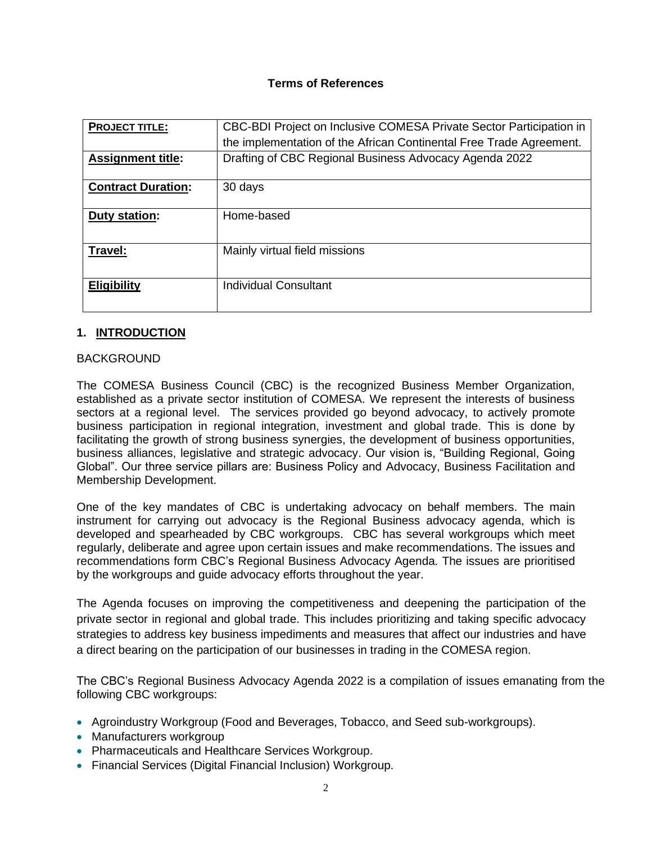### **Terms of References**

| <b>PROJECT TITLE:</b>     | CBC-BDI Project on Inclusive COMESA Private Sector Participation in |  |  |
|---------------------------|---------------------------------------------------------------------|--|--|
|                           | the implementation of the African Continental Free Trade Agreement. |  |  |
| <b>Assignment title:</b>  | Drafting of CBC Regional Business Advocacy Agenda 2022              |  |  |
| <b>Contract Duration:</b> | 30 days                                                             |  |  |
| Duty station:             | Home-based                                                          |  |  |
| Travel:                   | Mainly virtual field missions                                       |  |  |
| <b>Eligibility</b>        | <b>Individual Consultant</b>                                        |  |  |

#### **1. INTRODUCTION**

#### BACKGROUND

The COMESA Business Council (CBC) is the recognized Business Member Organization, established as a private sector institution of COMESA. We represent the interests of business sectors at a regional level. The services provided go beyond advocacy, to actively promote business participation in regional integration, investment and global trade. This is done by facilitating the growth of strong business synergies, the development of business opportunities, business alliances, legislative and strategic advocacy. Our vision is, "Building Regional, Going Global". Our three service pillars are: Business Policy and Advocacy, Business Facilitation and Membership Development.

One of the key mandates of CBC is undertaking advocacy on behalf members. The main instrument for carrying out advocacy is the Regional Business advocacy agenda, which is developed and spearheaded by CBC workgroups. CBC has several workgroups which meet regularly, deliberate and agree upon certain issues and make recommendations. The issues and recommendations form CBC's Regional Business Advocacy Agenda. The issues are prioritised by the workgroups and guide advocacy efforts throughout the year.

The Agenda focuses on improving the competitiveness and deepening the participation of the private sector in regional and global trade. This includes prioritizing and taking specific advocacy strategies to address key business impediments and measures that affect our industries and have a direct bearing on the participation of our businesses in trading in the COMESA region.

The CBC's Regional Business Advocacy Agenda 2022 is a compilation of issues emanating from the following CBC workgroups:

- Agroindustry Workgroup (Food and Beverages, Tobacco, and Seed sub-workgroups).
- Manufacturers workgroup
- Pharmaceuticals and Healthcare Services Workgroup.
- Financial Services (Digital Financial Inclusion) Workgroup.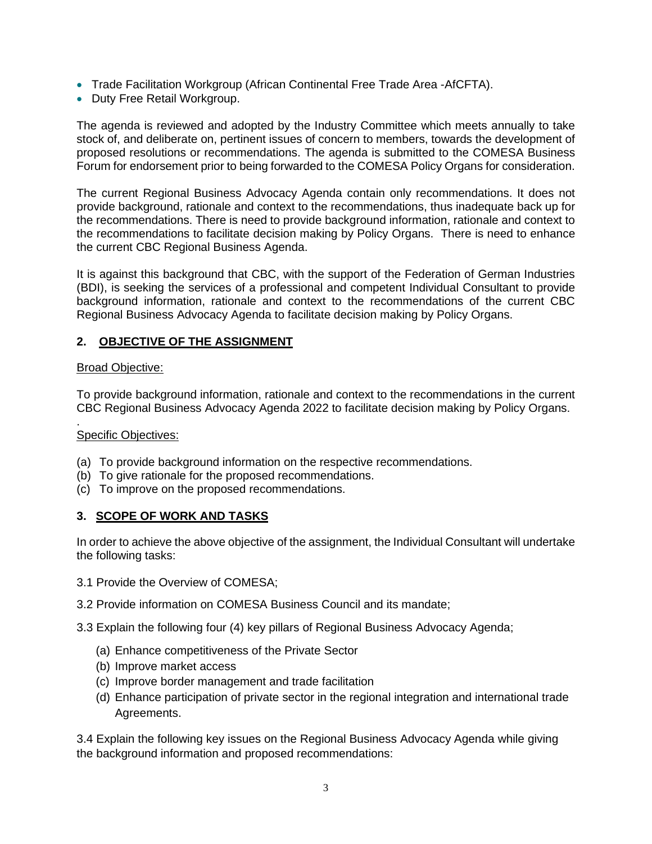- Trade Facilitation Workgroup (African Continental Free Trade Area -AfCFTA).
- Duty Free Retail Workgroup.

The agenda is reviewed and adopted by the Industry Committee which meets annually to take stock of, and deliberate on, pertinent issues of concern to members, towards the development of proposed resolutions or recommendations. The agenda is submitted to the COMESA Business Forum for endorsement prior to being forwarded to the COMESA Policy Organs for consideration.

The current Regional Business Advocacy Agenda contain only recommendations. It does not provide background, rationale and context to the recommendations, thus inadequate back up for the recommendations. There is need to provide background information, rationale and context to the recommendations to facilitate decision making by Policy Organs. There is need to enhance the current CBC Regional Business Agenda.

It is against this background that CBC, with the support of the Federation of German Industries (BDI), is seeking the services of a professional and competent Individual Consultant to provide background information, rationale and context to the recommendations of the current CBC Regional Business Advocacy Agenda to facilitate decision making by Policy Organs.

# **2. OBJECTIVE OF THE ASSIGNMENT**

#### Broad Objective:

To provide background information, rationale and context to the recommendations in the current CBC Regional Business Advocacy Agenda 2022 to facilitate decision making by Policy Organs.

#### . Specific Objectives:

- (a) To provide background information on the respective recommendations.
- (b) To give rationale for the proposed recommendations.
- (c) To improve on the proposed recommendations.

## **3. SCOPE OF WORK AND TASKS**

In order to achieve the above objective of the assignment, the Individual Consultant will undertake the following tasks:

- 3.1 Provide the Overview of COMESA;
- 3.2 Provide information on COMESA Business Council and its mandate;
- 3.3 Explain the following four (4) key pillars of Regional Business Advocacy Agenda;
	- (a) Enhance competitiveness of the Private Sector
	- (b) Improve market access
	- (c) Improve border management and trade facilitation
	- (d) Enhance participation of private sector in the regional integration and international trade Agreements.

3.4 Explain the following key issues on the Regional Business Advocacy Agenda while giving the background information and proposed recommendations: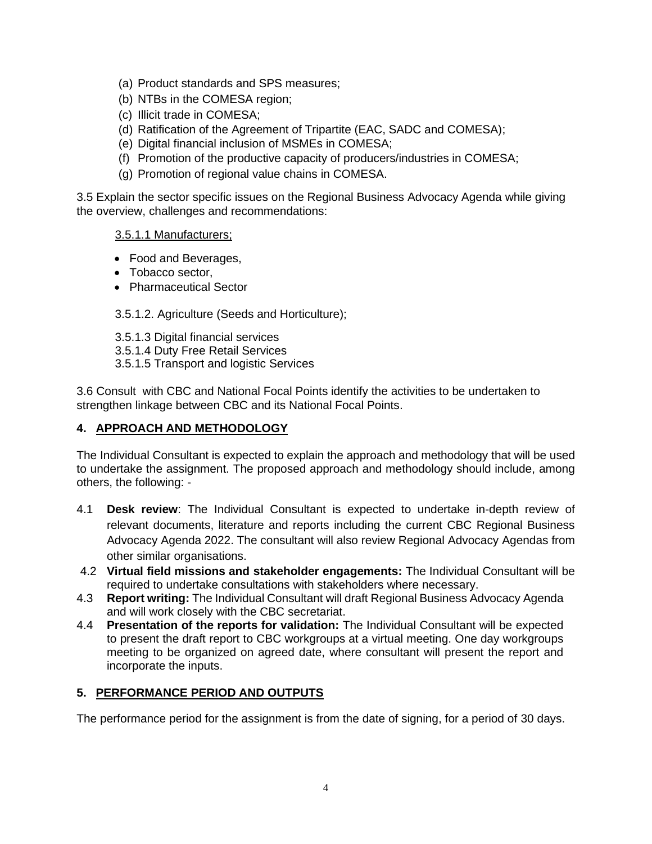- (a) Product standards and SPS measures;
- (b) NTBs in the COMESA region;
- (c) Illicit trade in COMESA;
- (d) Ratification of the Agreement of Tripartite (EAC, SADC and COMESA);
- (e) Digital financial inclusion of MSMEs in COMESA;
- (f) Promotion of the productive capacity of producers/industries in COMESA;
- (g) Promotion of regional value chains in COMESA.

3.5 Explain the sector specific issues on the Regional Business Advocacy Agenda while giving the overview, challenges and recommendations:

#### 3.5.1.1 Manufacturers;

- Food and Beverages,
- Tobacco sector.
- Pharmaceutical Sector

3.5.1.2. Agriculture (Seeds and Horticulture);

- 3.5.1.3 Digital financial services
- 3.5.1.4 Duty Free Retail Services
- 3.5.1.5 Transport and logistic Services

3.6 Consult with CBC and National Focal Points identify the activities to be undertaken to strengthen linkage between CBC and its National Focal Points.

# **4. APPROACH AND METHODOLOGY**

The Individual Consultant is expected to explain the approach and methodology that will be used to undertake the assignment. The proposed approach and methodology should include, among others, the following: -

- 4.1 **Desk review**: The Individual Consultant is expected to undertake in-depth review of relevant documents, literature and reports including the current CBC Regional Business Advocacy Agenda 2022. The consultant will also review Regional Advocacy Agendas from other similar organisations.
- 4.2 **Virtual field missions and stakeholder engagements:** The Individual Consultant will be required to undertake consultations with stakeholders where necessary.
- 4.3 **Report writing:** The Individual Consultant will draft Regional Business Advocacy Agenda and will work closely with the CBC secretariat.
- 4.4 **Presentation of the reports for validation:** The Individual Consultant will be expected to present the draft report to CBC workgroups at a virtual meeting. One day workgroups meeting to be organized on agreed date, where consultant will present the report and incorporate the inputs.

## **5. PERFORMANCE PERIOD AND OUTPUTS**

The performance period for the assignment is from the date of signing, for a period of 30 days.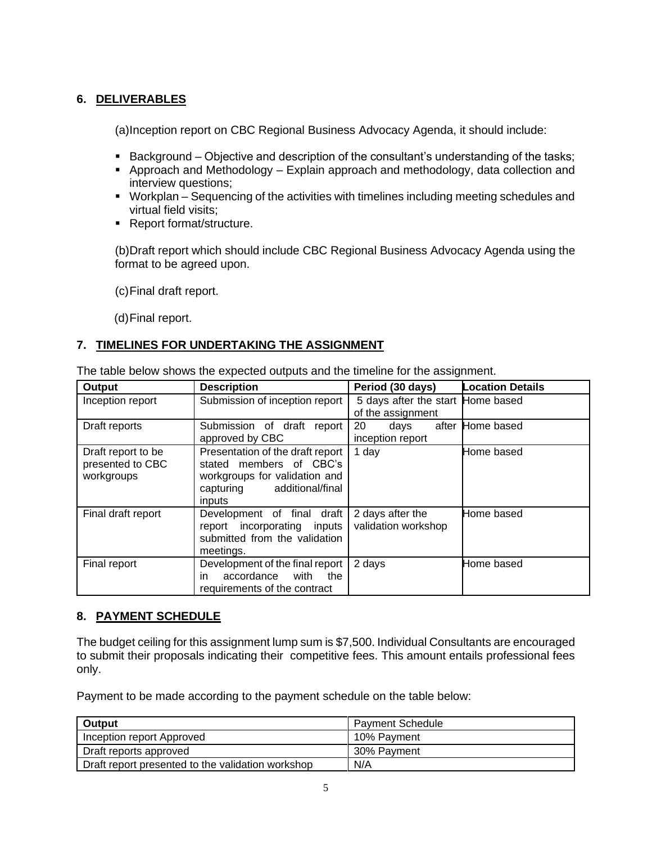# **6. DELIVERABLES**

(a)Inception report on CBC Regional Business Advocacy Agenda, it should include:

- Background Objective and description of the consultant's understanding of the tasks;
- Approach and Methodology Explain approach and methodology, data collection and interview questions;
- Workplan Sequencing of the activities with timelines including meeting schedules and virtual field visits;
- Report format/structure.

(b)Draft report which should include CBC Regional Business Advocacy Agenda using the format to be agreed upon.

(c)Final draft report.

(d)Final report.

# **7. TIMELINES FOR UNDERTAKING THE ASSIGNMENT**

The table below shows the expected outputs and the timeline for the assignment.

| Output                                               | <b>Description</b>                                                                                                                   | Period (30 days)                                       | <b>Location Details</b> |
|------------------------------------------------------|--------------------------------------------------------------------------------------------------------------------------------------|--------------------------------------------------------|-------------------------|
| Inception report                                     | Submission of inception report                                                                                                       | 5 days after the start Home based<br>of the assignment |                         |
| Draft reports                                        | Submission of draft<br>report<br>approved by CBC                                                                                     | 20<br>days<br>inception report                         | after Home based        |
| Draft report to be<br>presented to CBC<br>workgroups | Presentation of the draft report<br>stated members of CBC's<br>workgroups for validation and<br>capturing additional/final<br>inputs | 1 day                                                  | Home based              |
| Final draft report                                   | Development of final draft<br>report incorporating inputs<br>submitted from the validation<br>meetings.                              | 2 days after the<br>validation workshop                | Home based              |
| Final report                                         | Development of the final report<br>accordance<br>with<br>the<br>in<br>requirements of the contract                                   | 2 days                                                 | Home based              |

## **8. PAYMENT SCHEDULE**

The budget ceiling for this assignment lump sum is \$7,500. Individual Consultants are encouraged to submit their proposals indicating their competitive fees. This amount entails professional fees only.

Payment to be made according to the payment schedule on the table below:

| Output                                            | <b>Payment Schedule</b> |
|---------------------------------------------------|-------------------------|
| Inception report Approved                         | 10% Pavment             |
| Draft reports approved                            | 30% Pavment             |
| Draft report presented to the validation workshop | N/A                     |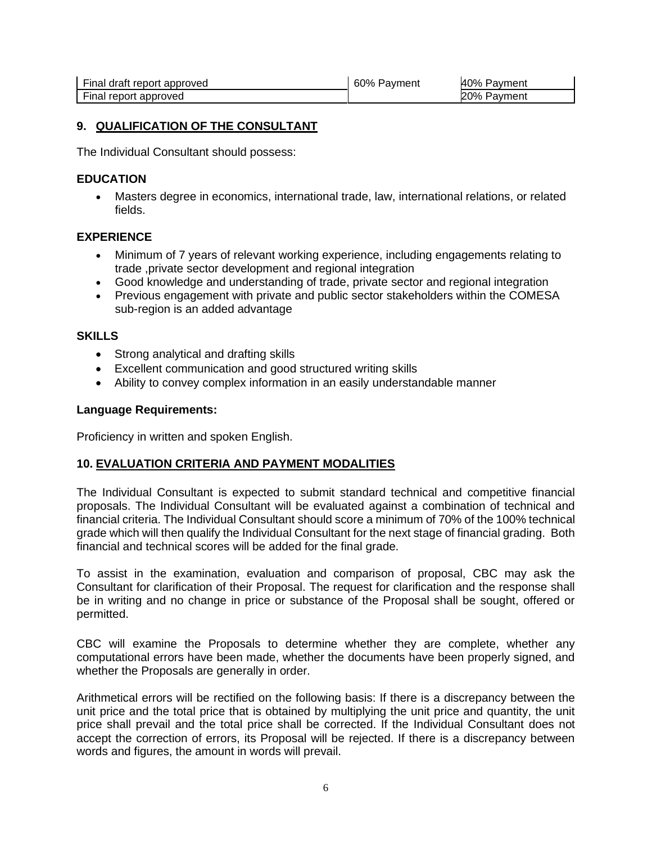| Final draft report approved | 60% Payment | 40% Payment |
|-----------------------------|-------------|-------------|
| Final report approved       |             | 20% Payment |

#### **9. QUALIFICATION OF THE CONSULTANT**

The Individual Consultant should possess:

#### **EDUCATION**

• Masters degree in economics, international trade, law, international relations, or related fields.

#### **EXPERIENCE**

- Minimum of 7 years of relevant working experience, including engagements relating to trade ,private sector development and regional integration
- Good knowledge and understanding of trade, private sector and regional integration
- Previous engagement with private and public sector stakeholders within the COMESA sub-region is an added advantage

#### **SKILLS**

- Strong analytical and drafting skills
- Excellent communication and good structured writing skills
- Ability to convey complex information in an easily understandable manner

#### **Language Requirements:**

Proficiency in written and spoken English.

#### **10. EVALUATION CRITERIA AND PAYMENT MODALITIES**

The Individual Consultant is expected to submit standard technical and competitive financial proposals. The Individual Consultant will be evaluated against a combination of technical and financial criteria. The Individual Consultant should score a minimum of 70% of the 100% technical grade which will then qualify the Individual Consultant for the next stage of financial grading. Both financial and technical scores will be added for the final grade.

To assist in the examination, evaluation and comparison of proposal, CBC may ask the Consultant for clarification of their Proposal. The request for clarification and the response shall be in writing and no change in price or substance of the Proposal shall be sought, offered or permitted.

CBC will examine the Proposals to determine whether they are complete, whether any computational errors have been made, whether the documents have been properly signed, and whether the Proposals are generally in order.

Arithmetical errors will be rectified on the following basis: If there is a discrepancy between the unit price and the total price that is obtained by multiplying the unit price and quantity, the unit price shall prevail and the total price shall be corrected. If the Individual Consultant does not accept the correction of errors, its Proposal will be rejected. If there is a discrepancy between words and figures, the amount in words will prevail.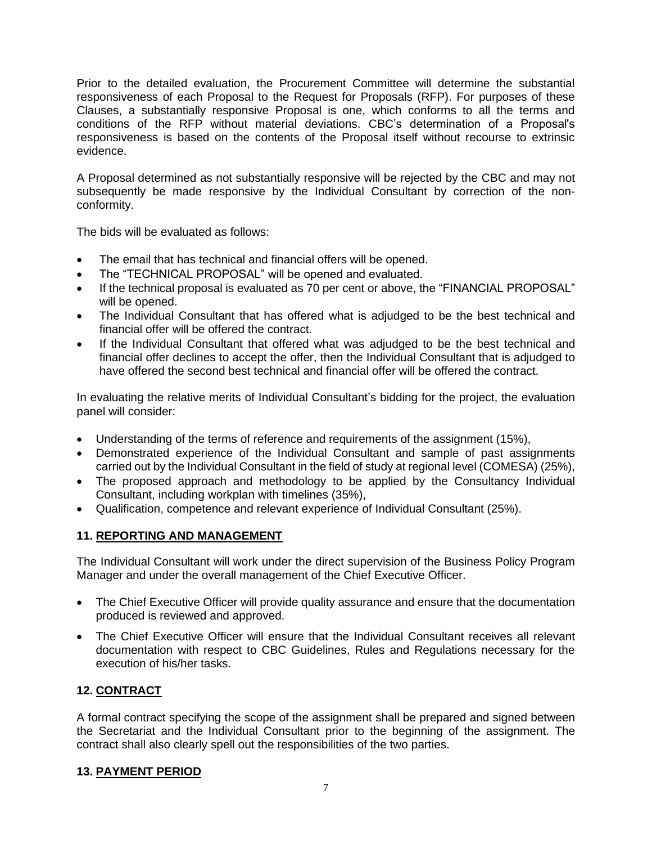Prior to the detailed evaluation, the Procurement Committee will determine the substantial responsiveness of each Proposal to the Request for Proposals (RFP). For purposes of these Clauses, a substantially responsive Proposal is one, which conforms to all the terms and conditions of the RFP without material deviations. CBC's determination of a Proposal's responsiveness is based on the contents of the Proposal itself without recourse to extrinsic evidence.

A Proposal determined as not substantially responsive will be rejected by the CBC and may not subsequently be made responsive by the Individual Consultant by correction of the nonconformity.

The bids will be evaluated as follows:

- The email that has technical and financial offers will be opened.
- The "TECHNICAL PROPOSAL" will be opened and evaluated.
- If the technical proposal is evaluated as 70 per cent or above, the "FINANCIAL PROPOSAL" will be opened.
- The Individual Consultant that has offered what is adjudged to be the best technical and financial offer will be offered the contract.
- If the Individual Consultant that offered what was adjudged to be the best technical and financial offer declines to accept the offer, then the Individual Consultant that is adjudged to have offered the second best technical and financial offer will be offered the contract.

In evaluating the relative merits of Individual Consultant's bidding for the project, the evaluation panel will consider:

- Understanding of the terms of reference and requirements of the assignment (15%),
- Demonstrated experience of the Individual Consultant and sample of past assignments carried out by the Individual Consultant in the field of study at regional level (COMESA) (25%),
- The proposed approach and methodology to be applied by the Consultancy Individual Consultant, including workplan with timelines (35%),
- Qualification, competence and relevant experience of Individual Consultant (25%).

# **11. REPORTING AND MANAGEMENT**

The Individual Consultant will work under the direct supervision of the Business Policy Program Manager and under the overall management of the Chief Executive Officer.

- The Chief Executive Officer will provide quality assurance and ensure that the documentation produced is reviewed and approved.
- The Chief Executive Officer will ensure that the Individual Consultant receives all relevant documentation with respect to CBC Guidelines, Rules and Regulations necessary for the execution of his/her tasks.

# **12. CONTRACT**

A formal contract specifying the scope of the assignment shall be prepared and signed between the Secretariat and the Individual Consultant prior to the beginning of the assignment. The contract shall also clearly spell out the responsibilities of the two parties.

## **13. PAYMENT PERIOD**